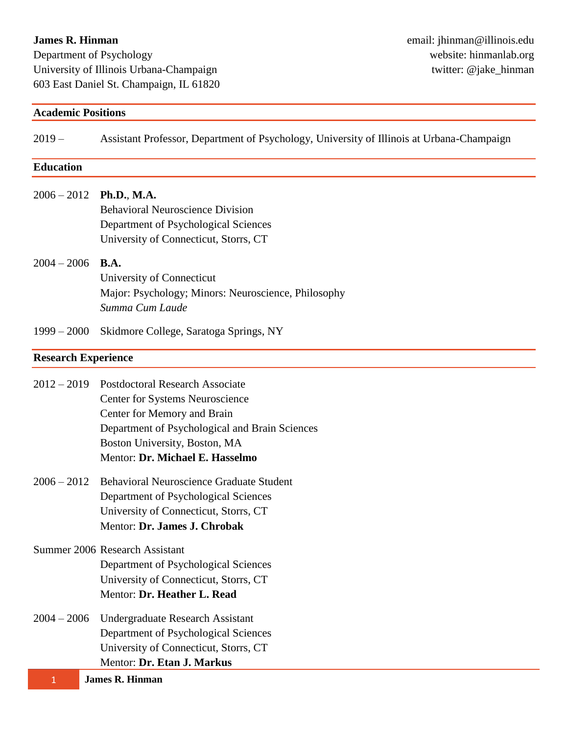### **James R. Hinman**

Department of Psychology University of Illinois Urbana-Champaign 603 East Daniel St. Champaign, IL 61820

| <b>Academic Positions</b>  |                                                                                                                                                                                                                                |
|----------------------------|--------------------------------------------------------------------------------------------------------------------------------------------------------------------------------------------------------------------------------|
| $2019-$                    | Assistant Professor, Department of Psychology, University of Illinois at Urbana-Champaign                                                                                                                                      |
| <b>Education</b>           |                                                                                                                                                                                                                                |
| $2006 - 2012$              | <b>Ph.D., M.A.</b><br><b>Behavioral Neuroscience Division</b><br>Department of Psychological Sciences<br>University of Connecticut, Storrs, CT                                                                                 |
| $2004 - 2006$              | <b>B.A.</b><br>University of Connecticut<br>Major: Psychology; Minors: Neuroscience, Philosophy<br>Summa Cum Laude                                                                                                             |
| $1999 - 2000$              | Skidmore College, Saratoga Springs, NY                                                                                                                                                                                         |
| <b>Research Experience</b> |                                                                                                                                                                                                                                |
| $2012 - 2019$              | <b>Postdoctoral Research Associate</b><br>Center for Systems Neuroscience<br>Center for Memory and Brain<br>Department of Psychological and Brain Sciences<br>Boston University, Boston, MA<br>Mentor: Dr. Michael E. Hasselmo |
| $2006 - 2012$              | <b>Behavioral Neuroscience Graduate Student</b><br>Department of Psychological Sciences<br>University of Connecticut, Storrs, CT<br>Mentor: Dr. James J. Chrobak                                                               |
|                            | Summer 2006 Research Assistant<br>Department of Psychological Sciences<br>University of Connecticut, Storrs, CT<br>Mentor: Dr. Heather L. Read                                                                                 |
| $2004 - 2006$              | Undergraduate Research Assistant<br>Department of Psychological Sciences<br>University of Connecticut, Storrs, CT<br>Mentor: Dr. Etan J. Markus                                                                                |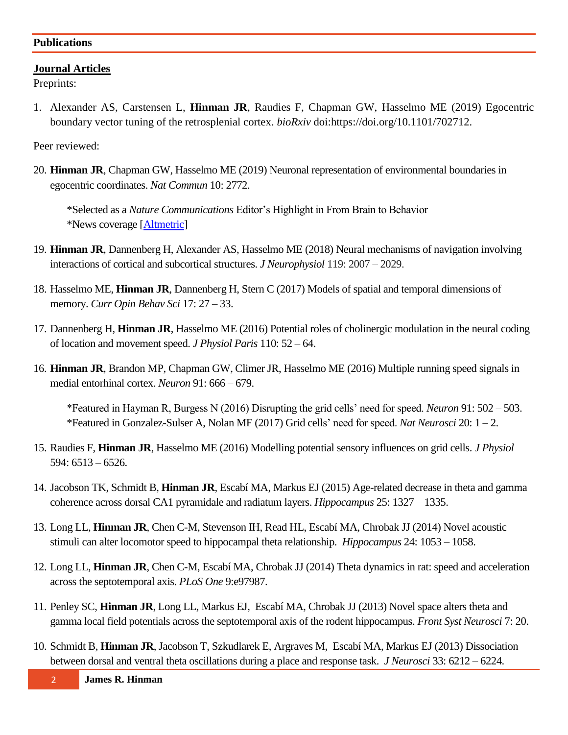#### **Publications**

### **Journal Articles**

Preprints:

1. Alexander AS, Carstensen L, **Hinman JR**, Raudies F, Chapman GW, Hasselmo ME (2019) Egocentric boundary vector tuning of the retrosplenial cortex. *bioRxiv* doi:https://doi.org/10.1101/702712.

Peer reviewed:

20. **Hinman JR**, Chapman GW, Hasselmo ME (2019) Neuronal representation of environmental boundaries in egocentric coordinates. *Nat Commun* 10: 2772.

\*Selected as a *Nature Communications* Editor's Highlight in From Brain to Behavior \*News coverage [\[Altmetric\]](https://www.altmetric.com/details/62617615/news)

- 19. **Hinman JR**, Dannenberg H, Alexander AS, Hasselmo ME (2018) Neural mechanisms of navigation involving interactions of cortical and subcortical structures. *J Neurophysiol* 119: 2007 – 2029.
- 18. Hasselmo ME, **Hinman JR**, Dannenberg H, Stern C (2017) Models of spatial and temporal dimensions of memory. *Curr Opin Behav Sci* 17: 27 – 33.
- 17. Dannenberg H, **Hinman JR**, Hasselmo ME (2016) Potential roles of cholinergic modulation in the neural coding of location and movement speed. *J Physiol Paris* 110: 52 – 64.
- 16. **Hinman JR**, Brandon MP, Chapman GW, Climer JR, Hasselmo ME (2016) Multiple running speed signals in medial entorhinal cortex. *Neuron* 91: 666 – 679.

\*Featured in Hayman R, Burgess N (2016) Disrupting the grid cells' need for speed. *Neuron* 91: 502 – 503. \*Featured in Gonzalez-Sulser A, Nolan MF (2017) Grid cells' need for speed. *Nat Neurosci* 20: 1 – 2.

- 15. Raudies F, **Hinman JR**, Hasselmo ME (2016) Modelling potential sensory influences on grid cells. *J Physiol* 594: 6513 – 6526.
- 14. Jacobson TK, Schmidt B, **Hinman JR**, Escabí MA, Markus EJ (2015) Age-related decrease in theta and gamma coherence across dorsal CA1 pyramidale and radiatum layers. *Hippocampus* 25: 1327 – 1335.
- 13. Long LL, **Hinman JR**, Chen C-M, Stevenson IH, Read HL, Escabí MA, Chrobak JJ (2014) Novel acoustic stimuli can alter locomotor speed to hippocampal theta relationship. *Hippocampus* 24: 1053 – 1058.
- 12. Long LL, **Hinman JR**, Chen C-M, Escabí MA, Chrobak JJ (2014) Theta dynamics in rat: speed and acceleration across the septotemporal axis. *PLoS One* 9:e97987.
- 11. Penley SC, **Hinman JR**, Long LL, Markus EJ, Escabí MA, Chrobak JJ (2013) Novel space alters theta and gamma local field potentials across the septotemporal axis of the rodent hippocampus. *Front Syst Neurosci* 7: 20.
- 10. Schmidt B, **Hinman JR**, Jacobson T, Szkudlarek E, Argraves M, Escabí MA, Markus EJ (2013) Dissociation between dorsal and ventral theta oscillations during a place and response task. *J Neurosci* 33: 6212 – 6224.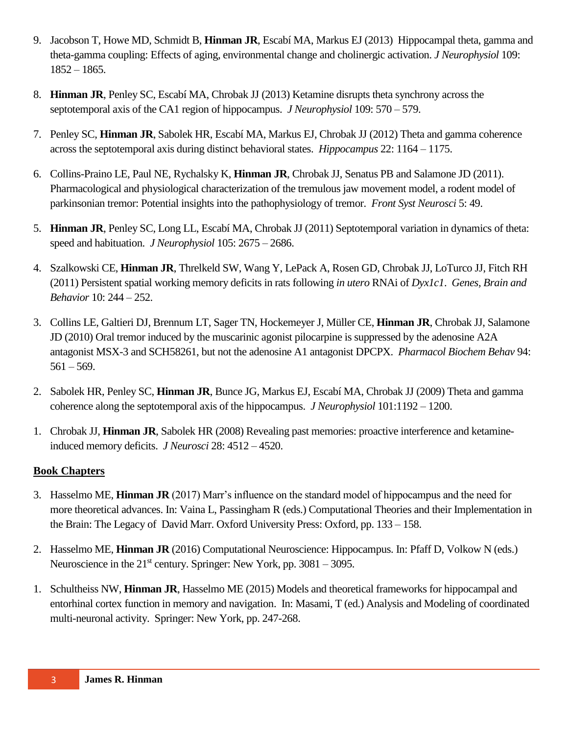- 9. Jacobson T, Howe MD, Schmidt B, **Hinman JR**, Escabí MA, Markus EJ (2013) Hippocampal theta, gamma and theta-gamma coupling: Effects of aging, environmental change and cholinergic activation. *J Neurophysiol* 109: 1852 – 1865.
- 8. **Hinman JR**, Penley SC, Escabí MA, Chrobak JJ (2013) Ketamine disrupts theta synchrony across the septotemporal axis of the CA1 region of hippocampus. *J Neurophysiol* 109: 570 – 579.
- 7. Penley SC, **Hinman JR**, Sabolek HR, Escabí MA, Markus EJ, Chrobak JJ (2012) Theta and gamma coherence across the septotemporal axis during distinct behavioral states. *Hippocampus* 22: 1164 – 1175.
- 6. Collins-Praino LE, Paul NE, Rychalsky K, **Hinman JR**, Chrobak JJ, Senatus PB and Salamone JD (2011). Pharmacological and physiological characterization of the tremulous jaw movement model, a rodent model of parkinsonian tremor: Potential insights into the pathophysiology of tremor. *Front Syst Neurosci* 5: 49.
- 5. **Hinman JR**, Penley SC, Long LL, Escabí MA, Chrobak JJ (2011) Septotemporal variation in dynamics of theta: speed and habituation. *J Neurophysiol* 105: 2675 – 2686.
- 4. Szalkowski CE, **Hinman JR**, Threlkeld SW, Wang Y, LePack A, Rosen GD, Chrobak JJ, LoTurco JJ, Fitch RH (2011) Persistent spatial working memory deficits in rats following *in utero* RNAi of *Dyx1c1*. *Genes, Brain and Behavior* 10: 244 – 252.
- 3. Collins LE, Galtieri DJ, Brennum LT, Sager TN, Hockemeyer J, Müller CE, **Hinman JR**, Chrobak JJ, Salamone JD (2010) Oral tremor induced by the muscarinic agonist pilocarpine is suppressed by the adenosine A2A antagonist MSX-3 and SCH58261, but not the adenosine A1 antagonist DPCPX. *Pharmacol Biochem Behav* 94:  $561 - 569.$
- 2. Sabolek HR, Penley SC, **Hinman JR**, Bunce JG, Markus EJ, Escabí MA, Chrobak JJ (2009) Theta and gamma coherence along the septotemporal axis of the hippocampus. *J Neurophysiol* 101:1192 – 1200.
- 1. Chrobak JJ, **Hinman JR**, Sabolek HR (2008) Revealing past memories: proactive interference and ketamineinduced memory deficits. *J Neurosci* 28: 4512 – 4520.

## **Book Chapters**

- 3. Hasselmo ME, **Hinman JR** (2017) Marr's influence on the standard model of hippocampus and the need for more theoretical advances. In: Vaina L, Passingham R (eds.) Computational Theories and their Implementation in the Brain: The Legacy of David Marr. Oxford University Press: Oxford, pp. 133 – 158.
- 2. Hasselmo ME, **Hinman JR** (2016) Computational Neuroscience: Hippocampus. In: Pfaff D, Volkow N (eds.) Neuroscience in the  $21<sup>st</sup>$  century. Springer: New York, pp. 3081 – 3095.
- 1. Schultheiss NW, **Hinman JR**, Hasselmo ME (2015) Models and theoretical frameworks for hippocampal and entorhinal cortex function in memory and navigation. In: Masami, T (ed.) Analysis and Modeling of coordinated multi-neuronal activity. Springer: New York, pp. 247-268.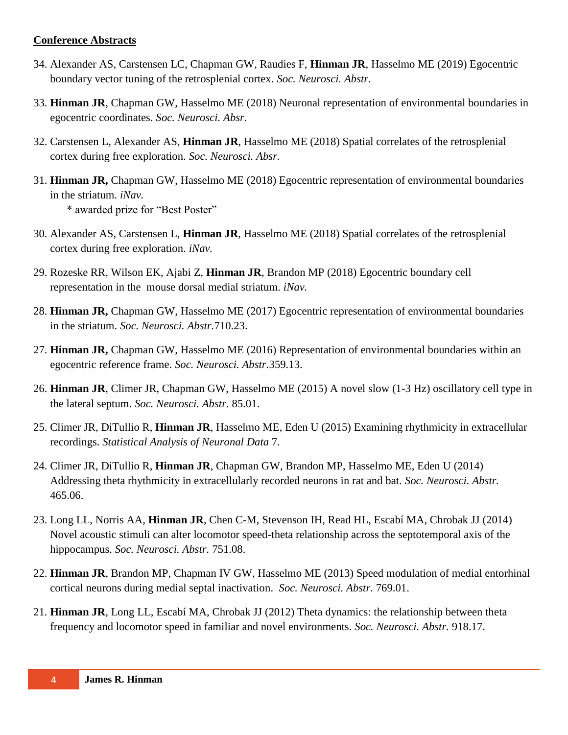#### **Conference Abstracts**

- 34. Alexander AS, Carstensen LC, Chapman GW, Raudies F, **Hinman JR**, Hasselmo ME (2019) Egocentric boundary vector tuning of the retrosplenial cortex. *Soc. Neurosci. Abstr.*
- 33. **Hinman JR**, Chapman GW, Hasselmo ME (2018) Neuronal representation of environmental boundaries in egocentric coordinates. *Soc. Neurosci. Absr.*
- 32. Carstensen L, Alexander AS, **Hinman JR**, Hasselmo ME (2018) Spatial correlates of the retrosplenial cortex during free exploration. *Soc. Neurosci. Absr.*
- 31. **Hinman JR,** Chapman GW, Hasselmo ME (2018) Egocentric representation of environmental boundaries in the striatum. *iNav.*

\* awarded prize for "Best Poster"

- 30. Alexander AS, Carstensen L, **Hinman JR**, Hasselmo ME (2018) Spatial correlates of the retrosplenial cortex during free exploration. *iNav.*
- 29. Rozeske RR, Wilson EK, Ajabi Z, **Hinman JR**, Brandon MP (2018) Egocentric boundary cell representation in the mouse dorsal medial striatum. *iNav.*
- 28. **Hinman JR,** Chapman GW, Hasselmo ME (2017) Egocentric representation of environmental boundaries in the striatum. *Soc. Neurosci. Abstr.*710.23.
- 27. **Hinman JR,** Chapman GW, Hasselmo ME (2016) Representation of environmental boundaries within an egocentric reference frame. *Soc. Neurosci. Abstr.*359.13.
- 26. **Hinman JR**, Climer JR, Chapman GW, Hasselmo ME (2015) A novel slow (1-3 Hz) oscillatory cell type in the lateral septum. *Soc. Neurosci. Abstr.* 85.01.
- 25. Climer JR, DiTullio R, **Hinman JR**, Hasselmo ME, Eden U (2015) Examining rhythmicity in extracellular recordings. *Statistical Analysis of Neuronal Data* 7.
- 24. Climer JR, DiTullio R, **Hinman JR**, Chapman GW, Brandon MP, Hasselmo ME, Eden U (2014) Addressing theta rhythmicity in extracellularly recorded neurons in rat and bat. *Soc. Neurosci. Abstr.* 465.06.
- 23. Long LL, Norris AA, **Hinman JR**, Chen C-M, Stevenson IH, Read HL, Escabí MA, Chrobak JJ (2014) Novel acoustic stimuli can alter locomotor speed-theta relationship across the septotemporal axis of the hippocampus. *Soc. Neurosci. Abstr.* 751.08.
- 22. **Hinman JR**, Brandon MP, Chapman IV GW, Hasselmo ME (2013) Speed modulation of medial entorhinal cortical neurons during medial septal inactivation. *Soc. Neurosci. Abstr*. 769.01.
- 21. **Hinman JR**, Long LL, Escabí MA, Chrobak JJ (2012) Theta dynamics: the relationship between theta frequency and locomotor speed in familiar and novel environments. *Soc. Neurosci. Abstr.* 918.17.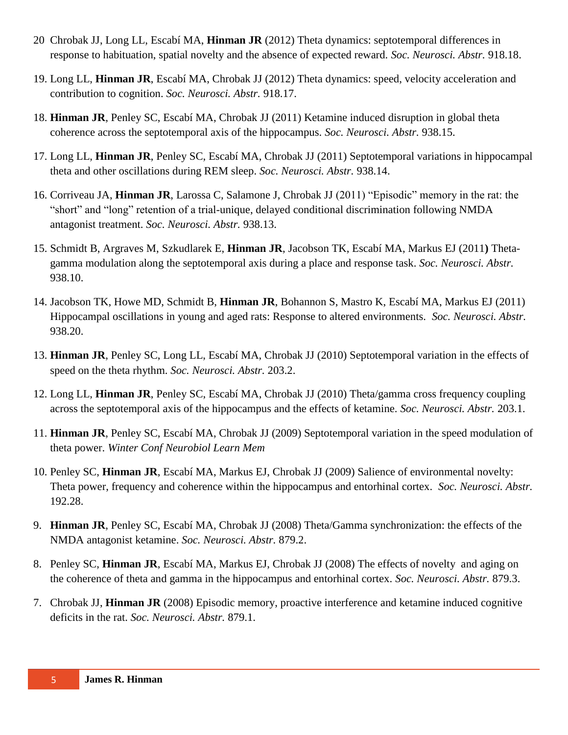- 20 Chrobak JJ, Long LL, Escabí MA, **Hinman JR** (2012) Theta dynamics: septotemporal differences in response to habituation, spatial novelty and the absence of expected reward. *Soc. Neurosci. Abstr.* 918.18.
- 19. Long LL, **Hinman JR**, Escabí MA, Chrobak JJ (2012) Theta dynamics: speed, velocity acceleration and contribution to cognition. *Soc. Neurosci. Abstr.* 918.17.
- 18. **Hinman JR**, Penley SC, Escabí MA, Chrobak JJ (2011) Ketamine induced disruption in global theta coherence across the septotemporal axis of the hippocampus. *Soc. Neurosci. Abstr.* 938.15.
- 17. Long LL, **Hinman JR**, Penley SC, Escabí MA, Chrobak JJ (2011) Septotemporal variations in hippocampal theta and other oscillations during REM sleep. *Soc. Neurosci. Abstr.* 938.14.
- 16. Corriveau JA, **Hinman JR**, Larossa C, Salamone J, Chrobak JJ (2011) "Episodic" memory in the rat: the "short" and "long" retention of a trial-unique, delayed conditional discrimination following NMDA antagonist treatment. *Soc. Neurosci. Abstr.* 938.13.
- 15. Schmidt B, Argraves M, Szkudlarek E, **Hinman JR**, Jacobson TK, Escabí MA, Markus EJ (2011**)** Thetagamma modulation along the septotemporal axis during a place and response task. *Soc. Neurosci. Abstr.* 938.10.
- 14. Jacobson TK, Howe MD, Schmidt B, **Hinman JR**, Bohannon S, Mastro K, Escabí MA, Markus EJ (2011) Hippocampal oscillations in young and aged rats: Response to altered environments. *Soc. Neurosci. Abstr.* 938.20.
- 13. **Hinman JR**, Penley SC, Long LL, Escabí MA, Chrobak JJ (2010) Septotemporal variation in the effects of speed on the theta rhythm. *Soc. Neurosci. Abstr.* 203.2.
- 12. Long LL, **Hinman JR**, Penley SC, Escabí MA, Chrobak JJ (2010) Theta/gamma cross frequency coupling across the septotemporal axis of the hippocampus and the effects of ketamine. *Soc. Neurosci. Abstr.* 203.1.
- 11. **Hinman JR**, Penley SC, Escabí MA, Chrobak JJ (2009) Septotemporal variation in the speed modulation of theta power. *Winter Conf Neurobiol Learn Mem*
- 10. Penley SC, **Hinman JR**, Escabí MA, Markus EJ, Chrobak JJ (2009) Salience of environmental novelty: Theta power, frequency and coherence within the hippocampus and entorhinal cortex. *Soc. Neurosci. Abstr.* 192.28.
- 9. **Hinman JR**, Penley SC, Escabí MA, Chrobak JJ (2008) Theta/Gamma synchronization: the effects of the NMDA antagonist ketamine. *Soc. Neurosci. Abstr.* 879.2.
- 8. Penley SC, **Hinman JR**, Escabí MA, Markus EJ, Chrobak JJ (2008) The effects of novelty and aging on the coherence of theta and gamma in the hippocampus and entorhinal cortex. *Soc. Neurosci. Abstr.* 879.3.
- 7. Chrobak JJ, **Hinman JR** (2008) Episodic memory, proactive interference and ketamine induced cognitive deficits in the rat. *Soc. Neurosci. Abstr.* 879.1.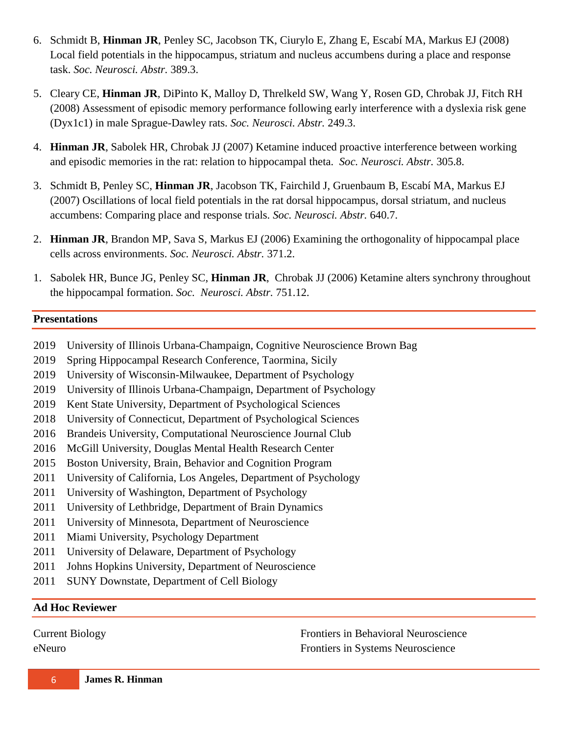- 6. Schmidt B, **Hinman JR**, Penley SC, Jacobson TK, Ciurylo E, Zhang E, Escabí MA, Markus EJ (2008) Local field potentials in the hippocampus, striatum and nucleus accumbens during a place and response task. *Soc. Neurosci. Abstr.* 389.3.
- 5. Cleary CE, **Hinman JR**, DiPinto K, Malloy D, Threlkeld SW, Wang Y, Rosen GD, Chrobak JJ, Fitch RH (2008) Assessment of episodic memory performance following early interference with a dyslexia risk gene (Dyx1c1) in male Sprague-Dawley rats. *Soc. Neurosci. Abstr.* 249.3.
- 4. **Hinman JR**, Sabolek HR, Chrobak JJ (2007) Ketamine induced proactive interference between working and episodic memories in the rat: relation to hippocampal theta. *Soc. Neurosci. Abstr.* 305.8.
- 3. Schmidt B, Penley SC, **Hinman JR**, Jacobson TK, Fairchild J, Gruenbaum B, Escabí MA, Markus EJ (2007) Oscillations of local field potentials in the rat dorsal hippocampus, dorsal striatum, and nucleus accumbens: Comparing place and response trials. *Soc. Neurosci. Abstr.* 640.7.
- 2. **Hinman JR**, Brandon MP, Sava S, Markus EJ (2006) Examining the orthogonality of hippocampal place cells across environments. *Soc. Neurosci. Abstr.* 371.2.
- 1. Sabolek HR, Bunce JG, Penley SC, **Hinman JR**, Chrobak JJ (2006) Ketamine alters synchrony throughout the hippocampal formation. *Soc. Neurosci. Abstr.* 751.12.

#### **Presentations**

- 2019 University of Illinois Urbana-Champaign, Cognitive Neuroscience Brown Bag
- 2019 Spring Hippocampal Research Conference, Taormina, Sicily
- 2019 University of Wisconsin-Milwaukee, Department of Psychology
- 2019 University of Illinois Urbana-Champaign, Department of Psychology
- 2019 Kent State University, Department of Psychological Sciences
- 2018 University of Connecticut, Department of Psychological Sciences
- 2016 Brandeis University, Computational Neuroscience Journal Club
- 2016 McGill University, Douglas Mental Health Research Center
- 2015 Boston University, Brain, Behavior and Cognition Program
- 2011 University of California, Los Angeles, Department of Psychology
- 2011 University of Washington, Department of Psychology
- 2011 University of Lethbridge, Department of Brain Dynamics
- 2011 University of Minnesota, Department of Neuroscience
- 2011 Miami University, Psychology Department
- 2011 University of Delaware, Department of Psychology
- 2011 Johns Hopkins University, Department of Neuroscience
- 2011 SUNY Downstate, Department of Cell Biology

### **Ad Hoc Reviewer**

Current Biology eNeuro

Frontiers in Behavioral Neuroscience Frontiers in Systems Neuroscience